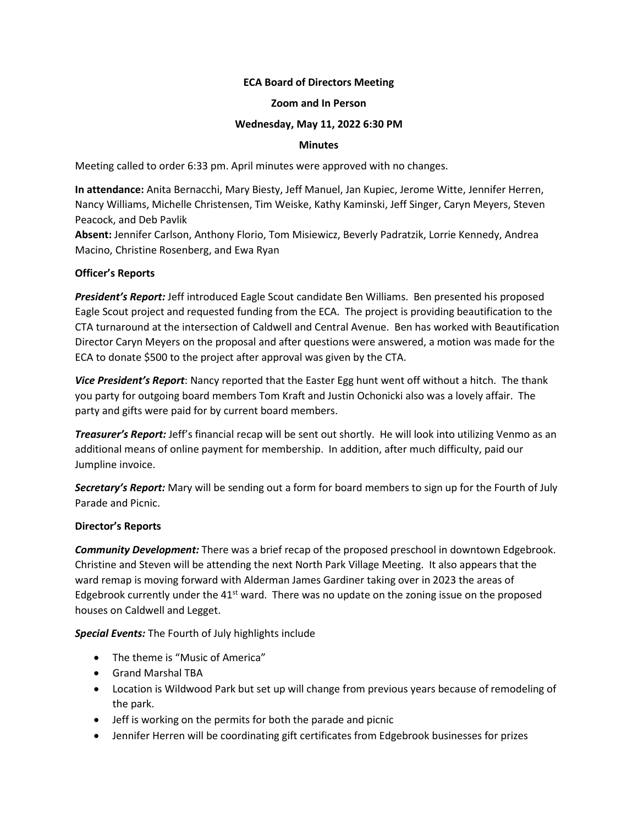# **ECA Board of Directors Meeting**

#### **Zoom and In Person**

## **Wednesday, May 11, 2022 6:30 PM**

## **Minutes**

Meeting called to order 6:33 pm. April minutes were approved with no changes.

**In attendance:** Anita Bernacchi, Mary Biesty, Jeff Manuel, Jan Kupiec, Jerome Witte, Jennifer Herren, Nancy Williams, Michelle Christensen, Tim Weiske, Kathy Kaminski, Jeff Singer, Caryn Meyers, Steven Peacock, and Deb Pavlik

**Absent:** Jennifer Carlson, Anthony Florio, Tom Misiewicz, Beverly Padratzik, Lorrie Kennedy, Andrea Macino, Christine Rosenberg, and Ewa Ryan

# **Officer's Reports**

*President's Report:* Jeff introduced Eagle Scout candidate Ben Williams. Ben presented his proposed Eagle Scout project and requested funding from the ECA. The project is providing beautification to the CTA turnaround at the intersection of Caldwell and Central Avenue. Ben has worked with Beautification Director Caryn Meyers on the proposal and after questions were answered, a motion was made for the ECA to donate \$500 to the project after approval was given by the CTA.

*Vice President's Report*: Nancy reported that the Easter Egg hunt went off without a hitch. The thank you party for outgoing board members Tom Kraft and Justin Ochonicki also was a lovely affair. The party and gifts were paid for by current board members.

*Treasurer's Report:* Jeff's financial recap will be sent out shortly. He will look into utilizing Venmo as an additional means of online payment for membership. In addition, after much difficulty, paid our Jumpline invoice.

*Secretary's Report:* Mary will be sending out a form for board members to sign up for the Fourth of July Parade and Picnic.

# **Director's Reports**

*Community Development:* There was a brief recap of the proposed preschool in downtown Edgebrook. Christine and Steven will be attending the next North Park Village Meeting. It also appears that the ward remap is moving forward with Alderman James Gardiner taking over in 2023 the areas of Edgebrook currently under the  $41<sup>st</sup>$  ward. There was no update on the zoning issue on the proposed houses on Caldwell and Legget.

*Special Events:* The Fourth of July highlights include

- The theme is "Music of America"
- Grand Marshal TBA
- Location is Wildwood Park but set up will change from previous years because of remodeling of the park.
- Jeff is working on the permits for both the parade and picnic
- Jennifer Herren will be coordinating gift certificates from Edgebrook businesses for prizes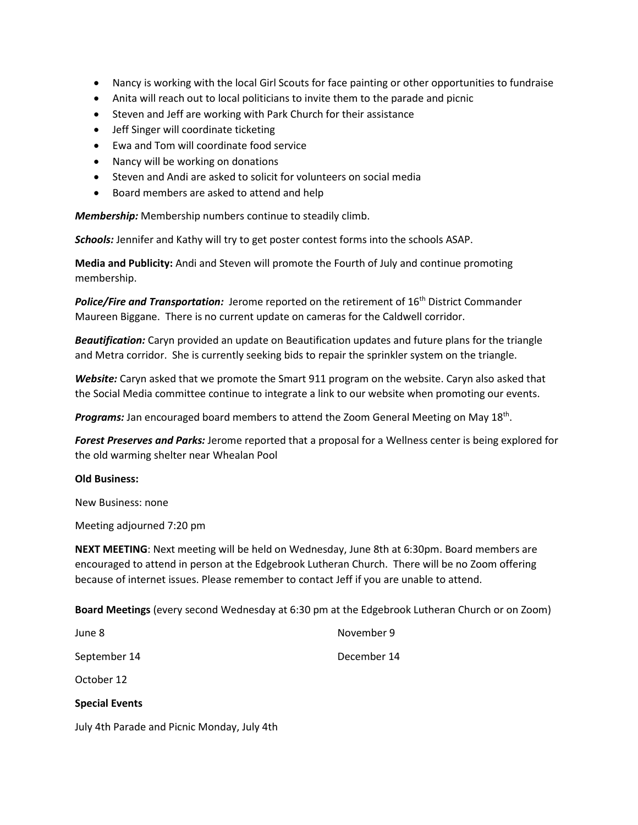- Nancy is working with the local Girl Scouts for face painting or other opportunities to fundraise
- Anita will reach out to local politicians to invite them to the parade and picnic
- Steven and Jeff are working with Park Church for their assistance
- Jeff Singer will coordinate ticketing
- Ewa and Tom will coordinate food service
- Nancy will be working on donations
- Steven and Andi are asked to solicit for volunteers on social media
- Board members are asked to attend and help

*Membership:* Membership numbers continue to steadily climb.

*Schools:* Jennifer and Kathy will try to get poster contest forms into the schools ASAP.

**Media and Publicity:** Andi and Steven will promote the Fourth of July and continue promoting membership.

**Police/Fire and Transportation:** Jerome reported on the retirement of 16<sup>th</sup> District Commander Maureen Biggane. There is no current update on cameras for the Caldwell corridor.

*Beautification:* Caryn provided an update on Beautification updates and future plans for the triangle and Metra corridor. She is currently seeking bids to repair the sprinkler system on the triangle.

*Website:* Caryn asked that we promote the Smart 911 program on the website. Caryn also asked that the Social Media committee continue to integrate a link to our website when promoting our events.

Programs: Jan encouraged board members to attend the Zoom General Meeting on May 18<sup>th</sup>.

*Forest Preserves and Parks:* Jerome reported that a proposal for a Wellness center is being explored for the old warming shelter near Whealan Pool

#### **Old Business:**

New Business: none

Meeting adjourned 7:20 pm

**NEXT MEETING**: Next meeting will be held on Wednesday, June 8th at 6:30pm. Board members are encouraged to attend in person at the Edgebrook Lutheran Church. There will be no Zoom offering because of internet issues. Please remember to contact Jeff if you are unable to attend.

**Board Meetings** (every second Wednesday at 6:30 pm at the Edgebrook Lutheran Church or on Zoom)

| <b>Special Events</b> |             |
|-----------------------|-------------|
| October 12            |             |
| September 14          | December 14 |
| June 8                | November 9  |

July 4th Parade and Picnic Monday, July 4th